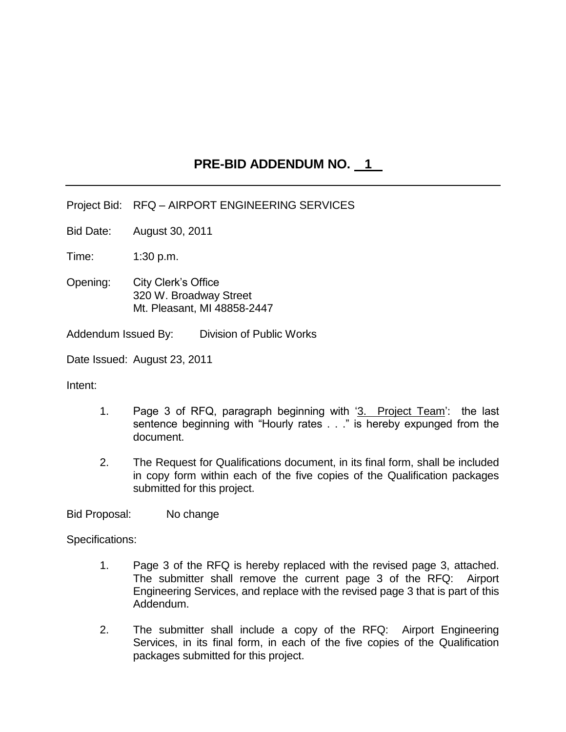## **PRE-BID ADDENDUM NO. 1**

Project Bid: RFQ – AIRPORT ENGINEERING SERVICES

Bid Date: August 30, 2011

Time: 1:30 p.m.

Opening: City Clerk"s Office 320 W. Broadway Street Mt. Pleasant, MI 48858-2447

Addendum Issued By: Division of Public Works

Date Issued: August 23, 2011

Intent:

- 1. Page 3 of RFQ, paragraph beginning with '3. Project Team': the last sentence beginning with "Hourly rates . . ." is hereby expunged from the document.
- 2. The Request for Qualifications document, in its final form, shall be included in copy form within each of the five copies of the Qualification packages submitted for this project.

Bid Proposal: No change

Specifications:

- 1. Page 3 of the RFQ is hereby replaced with the revised page 3, attached. The submitter shall remove the current page 3 of the RFQ: Airport Engineering Services, and replace with the revised page 3 that is part of this Addendum.
- 2. The submitter shall include a copy of the RFQ: Airport Engineering Services, in its final form, in each of the five copies of the Qualification packages submitted for this project.